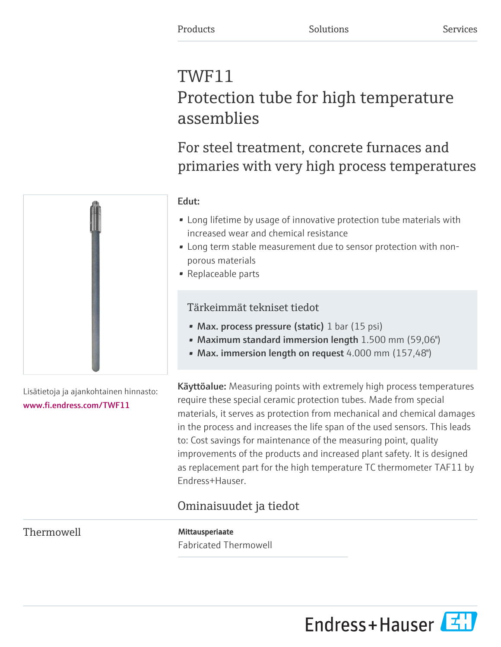# TWF11 Protection tube for high temperature assemblies

For steel treatment, concrete furnaces and primaries with very high process temperatures



Lisätietoja ja ajankohtainen hinnasto: [www.fi.endress.com/TWF11](https://www.fi.endress.com/TWF11)

Edut:

- Long lifetime by usage of innovative protection tube materials with increased wear and chemical resistance
- Long term stable measurement due to sensor protection with nonporous materials
- Replaceable parts

### Tärkeimmät tekniset tiedot

- Max. process pressure (static) 1 bar (15 psi)
- Maximum standard immersion length 1.500 mm (59,06")
- Max. immersion length on request 4.000 mm (157,48")

Käyttöalue: Measuring points with extremely high process temperatures require these special ceramic protection tubes. Made from special materials, it serves as protection from mechanical and chemical damages in the process and increases the life span of the used sensors. This leads to: Cost savings for maintenance of the measuring point, quality improvements of the products and increased plant safety. It is designed as replacement part for the high temperature TC thermometer TAF11 by Endress+Hauser.

## Ominaisuudet ja tiedot

Thermowell Mittausperiaate

Fabricated Thermowell

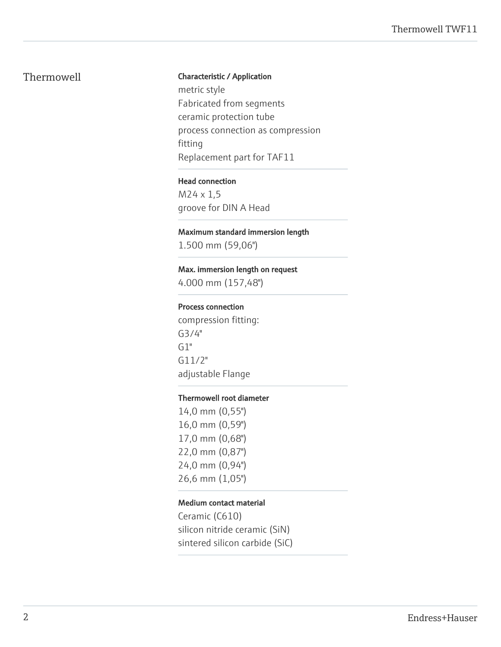#### Thermowell **Characteristic / Application**

metric style Fabricated from segments ceramic protection tube process connection as compression fitting Replacement part for TAF11

#### Head connection

M24 x 1,5 groove for DIN A Head

#### Maximum standard immersion length

1.500 mm (59,06")

#### Max. immersion length on request

4.000 mm (157,48")

#### Process connection

compression fitting: G3/4"  $G1"$ G11/2" adjustable Flange

#### Thermowell root diameter

14,0 mm (0,55") 16,0 mm (0,59") 17,0 mm (0,68") 22,0 mm (0,87") 24,0 mm (0,94") 26,6 mm (1,05")

#### Medium contact material

Ceramic (C610) silicon nitride ceramic (SiN) sintered silicon carbide (SiC)